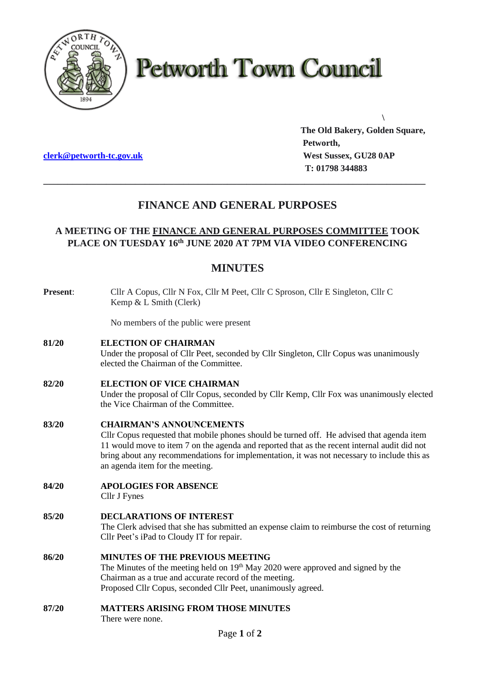

# **Petworth Town Council**

**The Old Bakery, Golden Square, Petworth, clerk@petworth-tc.gov.uk** *West Sussex, GU28 0AP*  **T: 01798 344883**

**\**

## **FINANCE AND GENERAL PURPOSES**

**\_\_\_\_\_\_\_\_\_\_\_\_\_\_\_\_\_\_\_\_\_\_\_\_\_\_\_\_\_\_\_\_\_\_\_\_\_\_\_\_\_\_\_\_\_\_\_\_\_\_\_\_\_\_\_\_\_\_\_\_\_\_\_\_\_\_\_\_\_\_\_\_\_\_\_\_\_\_\_**

## **A MEETING OF THE FINANCE AND GENERAL PURPOSES COMMITTEE TOOK PLACE ON TUESDAY 16 th JUNE 2020 AT 7PM VIA VIDEO CONFERENCING**

### **MINUTES**

| <b>Present:</b> | Cllr A Copus, Cllr N Fox, Cllr M Peet, Cllr C Sproson, Cllr E Singleton, Cllr C<br>Kemp & L Smith (Clerk)                                                                                                                                                                                                                                                      |
|-----------------|----------------------------------------------------------------------------------------------------------------------------------------------------------------------------------------------------------------------------------------------------------------------------------------------------------------------------------------------------------------|
|                 | No members of the public were present                                                                                                                                                                                                                                                                                                                          |
| 81/20           | <b>ELECTION OF CHAIRMAN</b><br>Under the proposal of Cllr Peet, seconded by Cllr Singleton, Cllr Copus was unanimously<br>elected the Chairman of the Committee.                                                                                                                                                                                               |
| 82/20           | <b>ELECTION OF VICE CHAIRMAN</b><br>Under the proposal of Cllr Copus, seconded by Cllr Kemp, Cllr Fox was unanimously elected<br>the Vice Chairman of the Committee.                                                                                                                                                                                           |
| 83/20           | <b>CHAIRMAN'S ANNOUNCEMENTS</b><br>Cllr Copus requested that mobile phones should be turned off. He advised that agenda item<br>11 would move to item 7 on the agenda and reported that as the recent internal audit did not<br>bring about any recommendations for implementation, it was not necessary to include this as<br>an agenda item for the meeting. |
| 84/20           | <b>APOLOGIES FOR ABSENCE</b><br>Cllr J Fynes                                                                                                                                                                                                                                                                                                                   |
| 85/20           | <b>DECLARATIONS OF INTEREST</b><br>The Clerk advised that she has submitted an expense claim to reimburse the cost of returning<br>Cllr Peet's iPad to Cloudy IT for repair.                                                                                                                                                                                   |
| 86/20           | <b>MINUTES OF THE PREVIOUS MEETING</b><br>The Minutes of the meeting held on $19th$ May 2020 were approved and signed by the<br>Chairman as a true and accurate record of the meeting.<br>Proposed Cllr Copus, seconded Cllr Peet, unanimously agreed.                                                                                                         |
| 87/20           | <b>MATTERS ARISING FROM THOSE MINUTES</b><br>There were none.<br>$\mathbf{R}$ $\mathbf{A}$ $\mathbf{A}$                                                                                                                                                                                                                                                        |